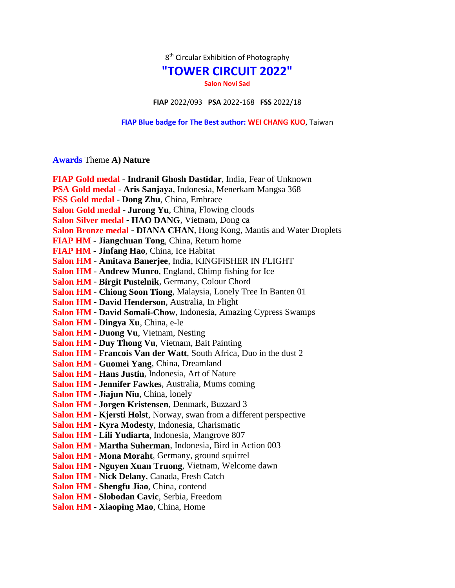$8<sup>th</sup>$  Circular Exhibition of Photography

## **"TOWER CIRCUIT 2022"**

**Salon Novi Sad**

**FIAP** 2022/093 **PSA** 2022-168 **FSS** 2022/18

## **FIAP Blue badge for The Best author: WEI CHANG KUO**, Taiwan

## **Awards** Theme **A) Nature**

| FIAP Gold medal - Indranil Ghosh Dastidar, India, Fear of Unknown     |
|-----------------------------------------------------------------------|
| PSA Gold medal - Aris Sanjaya, Indonesia, Menerkam Mangsa 368         |
| FSS Gold medal - Dong Zhu, China, Embrace                             |
| Salon Gold medal - Jurong Yu, China, Flowing clouds                   |
| Salon Silver medal - HAO DANG, Vietnam, Dong ca                       |
| Salon Bronze medal - DIANA CHAN, Hong Kong, Mantis and Water Droplets |
| <b>FIAP HM - Jiangchuan Tong, China, Return home</b>                  |
| FIAP HM - Jinfang Hao, China, Ice Habitat                             |
| Salon HM - Amitava Banerjee, India, KINGFISHER IN FLIGHT              |
| Salon HM - Andrew Munro, England, Chimp fishing for Ice               |
| Salon HM - Birgit Pustelnik, Germany, Colour Chord                    |
| Salon HM - Chiong Soon Tiong, Malaysia, Lonely Tree In Banten 01      |
| Salon HM - David Henderson, Australia, In Flight                      |
| Salon HM - David Somali-Chow, Indonesia, Amazing Cypress Swamps       |
| Salon HM - Dingya Xu, China, e-le                                     |
| Salon HM - Duong Vu, Vietnam, Nesting                                 |
| <b>Salon HM - Duy Thong Vu, Vietnam, Bait Painting</b>                |
| Salon HM - Francois Van der Watt, South Africa, Duo in the dust 2     |
| Salon HM - Guomei Yang, China, Dreamland                              |
| Salon HM - Hans Justin, Indonesia, Art of Nature                      |
| Salon HM - Jennifer Fawkes, Australia, Mums coming                    |
| Salon HM - Jiajun Niu, China, lonely                                  |
| Salon HM - Jorgen Kristensen, Denmark, Buzzard 3                      |
| Salon HM - Kjersti Holst, Norway, swan from a different perspective   |
| Salon HM - Kyra Modesty, Indonesia, Charismatic                       |
| Salon HM - Lili Yudiarta, Indonesia, Mangrove 807                     |
| Salon HM - Martha Suherman, Indonesia, Bird in Action 003             |
| Salon HM - Mona Moraht, Germany, ground squirrel                      |
| Salon HM - Nguyen Xuan Truong, Vietnam, Welcome dawn                  |
| Salon HM - Nick Delany, Canada, Fresh Catch                           |
| Salon HM - Shengfu Jiao, China, contend                               |
| Salon HM - Slobodan Cavic, Serbia, Freedom                            |
| Salon HM - Xiaoping Mao, China, Home                                  |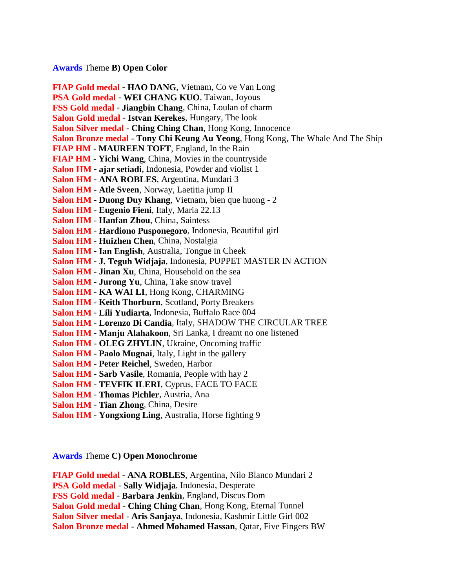## **Awards** Theme **B) Open Color**

**FIAP Gold medal** - **HAO DANG**, Vietnam, Co ve Van Long **PSA Gold medal** - **WEI CHANG KUO**, Taiwan, Joyous **FSS Gold medal** - **Jiangbin Chang**, China, Loulan of charm **Salon Gold medal** - **Istvan Kerekes**, Hungary, The look **Salon Silver medal** - **Ching Ching Chan**, Hong Kong, Innocence **Salon Bronze medal** - **Tony Chi Keung Au Yeong**, Hong Kong, The Whale And The Ship **FIAP HM** - **MAUREEN TOFT**, England, In the Rain **FIAP HM** - **Yichi Wang**, China, Movies in the countryside **Salon HM** - **ajar setiadi**, Indonesia, Powder and violist 1 **Salon HM** - **ANA ROBLES**, Argentina, Mundari 3 **Salon HM** - **Atle Sveen**, Norway, Laetitia jump II **Salon HM** - **Duong Duy Khang**, Vietnam, bien que huong - 2 **Salon HM** - **Eugenio Fieni**, Italy, Maria 22.13 **Salon HM** - **Hanfan Zhou**, China, Saintess **Salon HM** - **Hardiono Pusponegoro**, Indonesia, Beautiful girl **Salon HM** - **Huizhen Chen**, China, Nostalgia **Salon HM** - **Ian English**, Australia, Tongue in Cheek **Salon HM** - **J. Teguh Widjaja**, Indonesia, PUPPET MASTER IN ACTION **Salon HM** - **Jinan Xu**, China, Household on the sea **Salon HM** - **Jurong Yu**, China, Take snow travel **Salon HM** - **KA WAI LI**, Hong Kong, CHARMING **Salon HM** - **Keith Thorburn**, Scotland, Porty Breakers **Salon HM** - **Lili Yudiarta**, Indonesia, Buffalo Race 004 **Salon HM** - **Lorenzo Di Candia**, Italy, SHADOW THE CIRCULAR TREE **Salon HM** - **Manju Alahakoon**, Sri Lanka, I dreamt no one listened **Salon HM** - **OLEG ZHYLIN**, Ukraine, Oncoming traffic **Salon HM** - **Paolo Mugnai**, Italy, Light in the gallery **Salon HM** - **Peter Reichel**, Sweden, Harbor **Salon HM** - **Sarb Vasile**, Romania, People with hay 2 **Salon HM** - **TEVFIK ILERI**, Cyprus, FACE TO FACE **Salon HM** - **Thomas Pichler**, Austria, Ana **Salon HM** - **Tian Zhong**, China, Desire

**Salon HM** - **Yongxiong Ling**, Australia, Horse fighting 9

**Awards** Theme **C) Open Monochrome**

**FIAP Gold medal** - **ANA ROBLES**, Argentina, Nilo Blanco Mundari 2 **PSA Gold medal** - **Sally Widjaja**, Indonesia, Desperate **FSS Gold medal** - **Barbara Jenkin**, England, Discus Dom **Salon Gold medal** - **Ching Ching Chan**, Hong Kong, Eternal Tunnel **Salon Silver medal** - **Aris Sanjaya**, Indonesia, Kashmir Little Girl 002 **Salon Bronze medal** - **Ahmed Mohamed Hassan**, Qatar, Five Fingers BW